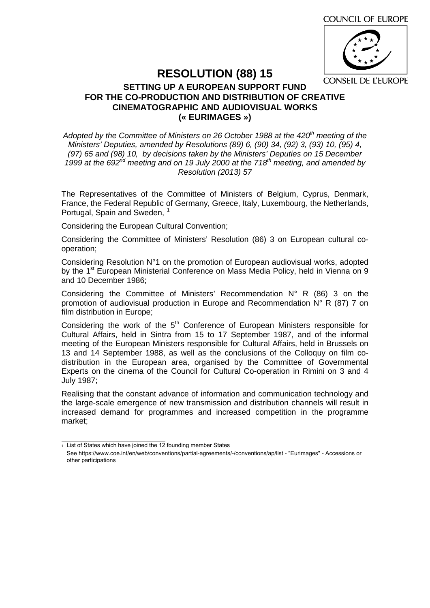

## **RESOLUTION (88) 15**

## **SETTING UP A EUROPEAN SUPPORT FUND FOR THE CO-PRODUCTION AND DISTRIBUTION OF CREATIVE CINEMATOGRAPHIC AND AUDIOVISUAL WORKS (« EURIMAGES »)**

*Adopted by the Committee of Ministers on 26 October 1988 at the 420th meeting of the Ministers' Deputies, amended by Resolutions (89) 6, (90) 34, (92) 3, (93) 10, (95) 4, (97) 65 and (98) 10, by decisions taken by the Ministers' Deputies on 15 December 1999 at the 692nd meeting and on 19 July 2000 at the 718th meeting, and amended by Resolution (2013) 57* 

The Representatives of the Committee of Ministers of Belgium, Cyprus, Denmark, France, the Federal Republic of Germany, Greece, Italy, Luxembourg, the Netherlands, Portugal, Spain and Sweden, <sup>1</sup>

Considering the European Cultural Convention;

Considering the Committee of Ministers' Resolution (86) 3 on European cultural cooperation;

Considering Resolution N°1 on the promotion of European audiovisual works, adopted by the 1<sup>st</sup> European Ministerial Conference on Mass Media Policy, held in Vienna on 9 and 10 December 1986;

Considering the Committee of Ministers' Recommendation N° R (86) 3 on the promotion of audiovisual production in Europe and Recommendation N° R (87) 7 on film distribution in Europe;

Considering the work of the  $5<sup>th</sup>$  Conference of European Ministers responsible for Cultural Affairs, held in Sintra from 15 to 17 September 1987, and of the informal meeting of the European Ministers responsible for Cultural Affairs, held in Brussels on 13 and 14 September 1988, as well as the conclusions of the Colloquy on film codistribution in the European area, organised by the Committee of Governmental Experts on the cinema of the Council for Cultural Co-operation in Rimini on 3 and 4 July 1987;

Realising that the constant advance of information and communication technology and the large-scale emergence of new transmission and distribution channels will result in increased demand for programmes and increased competition in the programme market;

 $\frac{1}{1}$  [List of States which have joined the 12 founding member States](https://www.coe.int/en/web/conventions/partial-agreements/-/conventions/ap/7?p_auth=mAAligUW&_coeconventions_WAR_coeconventionsportlet_dateStatus=18%2F01%2F2018)

See https://www.coe.int/en/web/conventions/partial-agreements/-/conventions/ap/list - "Eurimages" - Accessions or other participations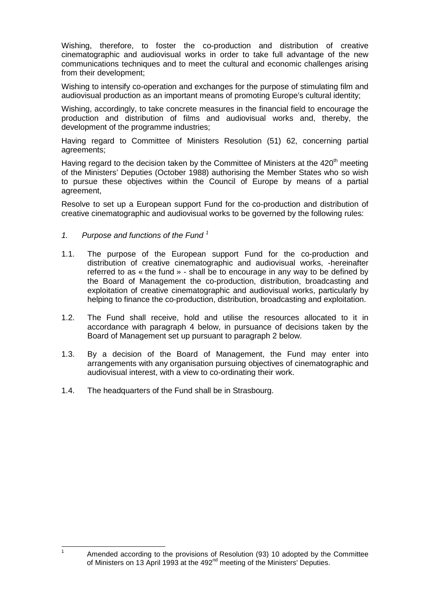Wishing, therefore, to foster the co-production and distribution of creative cinematographic and audiovisual works in order to take full advantage of the new communications techniques and to meet the cultural and economic challenges arising from their development;

Wishing to intensify co-operation and exchanges for the purpose of stimulating film and audiovisual production as an important means of promoting Europe's cultural identity;

Wishing, accordingly, to take concrete measures in the financial field to encourage the production and distribution of films and audiovisual works and, thereby, the development of the programme industries;

Having regard to Committee of Ministers Resolution (51) 62, concerning partial agreements;

Having regard to the decision taken by the Committee of Ministers at the  $420<sup>th</sup>$  meeting of the Ministers' Deputies (October 1988) authorising the Member States who so wish to pursue these objectives within the Council of Europe by means of a partial agreement,

Resolve to set up a European support Fund for the co-production and distribution of creative cinematographic and audiovisual works to be governed by the following rules:

## *1. Purpose and functions of the Fund <sup>1</sup>*

- 1.1. The purpose of the European support Fund for the co-production and distribution of creative cinematographic and audiovisual works, -hereinafter referred to as « the fund » - shall be to encourage in any way to be defined by the Board of Management the co-production, distribution, broadcasting and exploitation of creative cinematographic and audiovisual works, particularly by helping to finance the co-production, distribution, broadcasting and exploitation.
- 1.2. The Fund shall receive, hold and utilise the resources allocated to it in accordance with paragraph 4 below, in pursuance of decisions taken by the Board of Management set up pursuant to paragraph 2 below.
- 1.3. By a decision of the Board of Management, the Fund may enter into arrangements with any organisation pursuing objectives of cinematographic and audiovisual interest, with a view to co-ordinating their work.
- 1.4. The headquarters of the Fund shall be in Strasbourg.

-<br>1

Amended according to the provisions of Resolution (93) 10 adopted by the Committee of Ministers on 13 April 1993 at the 492<sup>nd</sup> meeting of the Ministers' Deputies.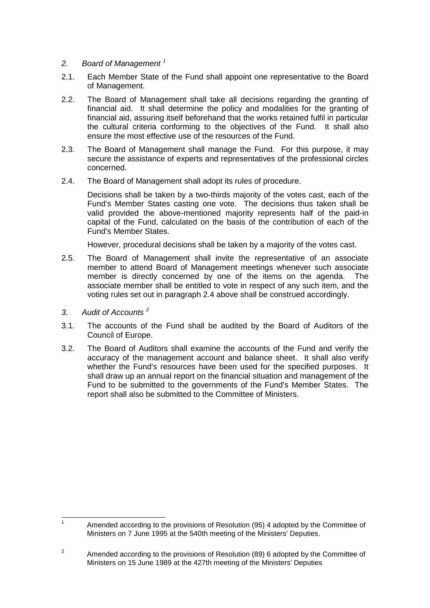- *2. Board of Management <sup>1</sup>*
- 2.1. Each Member State of the Fund shall appoint one representative to the Board of Management.
- 2.2. The Board of Management shall take all decisions regarding the granting of financial aid. It shall determine the policy and modalities for the granting of financial aid, assuring itself beforehand that the works retained fulfil in particular the cultural criteria conforming to the objectives of the Fund. It shall also ensure the most effective use of the resources of the Fund.
- 2.3. The Board of Management shall manage the Fund. For this purpose, it may secure the assistance of experts and representatives of the professional circles concerned.
- 2.4. The Board of Management shall adopt its rules of procedure.

Decisions shall be taken by a two-thirds majority of the votes cast, each of the Fund's Member States casting one vote. The decisions thus taken shall be valid provided the above-mentioned majority represents half of the paid-in capital of the Fund, calculated on the basis of the contribution of each of the Fund's Member States.

However, procedural decisions shall be taken by a majority of the votes cast.

- 2.5. The Board of Management shall invite the representative of an associate member to attend Board of Management meetings whenever such associate member is directly concerned by one of the items on the agenda. The associate member shall be entitled to vote in respect of any such item, and the voting rules set out in paragraph 2.4 above shall be construed accordingly.
- *3. Audit of Accounts <sup>2</sup>*
- 3.1. The accounts of the Fund shall be audited by the Board of Auditors of the Council of Europe.
- 3.2. The Board of Auditors shall examine the accounts of the Fund and verify the accuracy of the management account and balance sheet. It shall also verify whether the Fund's resources have been used for the specified purposes. It shall draw up an annual report on the financial situation and management of the Fund to be submitted to the governments of the Fund's Member States. The report shall also be submitted to the Committee of Ministers.

<sup>-&</sup>lt;br>1 Amended according to the provisions of Resolution (95) 4 adopted by the Committee of Ministers on 7 June 1995 at the 540th meeting of the Ministers' Deputies.

 $\overline{2}$  Amended according to the provisions of Resolution (89) 6 adopted by the Committee of Ministers on 15 June 1989 at the 427th meeting of the Ministers' Deputies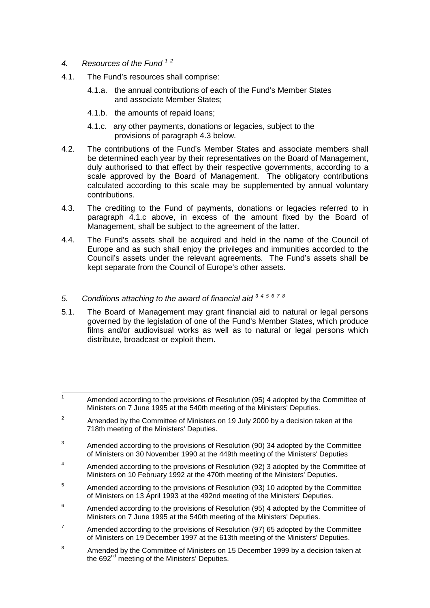- *4. Resources of the Fund <sup>1</sup> <sup>2</sup>*
- 4.1. The Fund's resources shall comprise:
	- 4.1.a. the annual contributions of each of the Fund's Member States and associate Member States;
	- 4.1.b. the amounts of repaid loans;
	- 4.1.c. any other payments, donations or legacies, subject to the provisions of paragraph 4.3 below.
- 4.2. The contributions of the Fund's Member States and associate members shall be determined each year by their representatives on the Board of Management, duly authorised to that effect by their respective governments, according to a scale approved by the Board of Management. The obligatory contributions calculated according to this scale may be supplemented by annual voluntary contributions.
- 4.3. The crediting to the Fund of payments, donations or legacies referred to in paragraph 4.1.c above, in excess of the amount fixed by the Board of Management, shall be subject to the agreement of the latter.
- 4.4. The Fund's assets shall be acquired and held in the name of the Council of Europe and as such shall enjoy the privileges and immunities accorded to the Council's assets under the relevant agreements. The Fund's assets shall be kept separate from the Council of Europe's other assets.
- *5. Conditions attaching to the award of financial aid <sup>3</sup> <sup>4</sup> <sup>5</sup> <sup>6</sup> <sup>7</sup> <sup>8</sup>*
- 5.1. The Board of Management may grant financial aid to natural or legal persons governed by the legislation of one of the Fund's Member States, which produce films and/or audiovisual works as well as to natural or legal persons which distribute, broadcast or exploit them.

- $\overline{2}$  Amended by the Committee of Ministers on 19 July 2000 by a decision taken at the 718th meeting of the Ministers' Deputies.
- 3 Amended according to the provisions of Resolution (90) 34 adopted by the Committee of Ministers on 30 November 1990 at the 449th meeting of the Ministers' Deputies
- 4 Amended according to the provisions of Resolution (92) 3 adopted by the Committee of Ministers on 10 February 1992 at the 470th meeting of the Ministers' Deputies.
- 5 Amended according to the provisions of Resolution (93) 10 adopted by the Committee of Ministers on 13 April 1993 at the 492nd meeting of the Ministers' Deputies.
- 6 Amended according to the provisions of Resolution (95) 4 adopted by the Committee of Ministers on 7 June 1995 at the 540th meeting of the Ministers' Deputies.
- 7 Amended according to the provisions of Resolution (97) 65 adopted by the Committee of Ministers on 19 December 1997 at the 613th meeting of the Ministers' Deputies.
- 8 Amended by the Committee of Ministers on 15 December 1999 by a decision taken at the 692<sup>nd</sup> meeting of the Ministers' Deputies.

<sup>—&</sup>lt;br>1 Amended according to the provisions of Resolution (95) 4 adopted by the Committee of Ministers on 7 June 1995 at the 540th meeting of the Ministers' Deputies.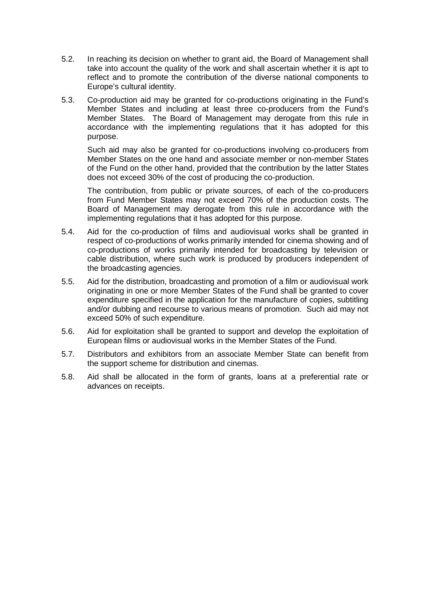- 5.2. In reaching its decision on whether to grant aid, the Board of Management shall take into account the quality of the work and shall ascertain whether it is apt to reflect and to promote the contribution of the diverse national components to Europe's cultural identity.
- 5.3. Co-production aid may be granted for co-productions originating in the Fund's Member States and including at least three co-producers from the Fund's Member States. The Board of Management may derogate from this rule in accordance with the implementing regulations that it has adopted for this purpose.

Such aid may also be granted for co-productions involving co-producers from Member States on the one hand and associate member or non-member States of the Fund on the other hand, provided that the contribution by the latter States does not exceed 30% of the cost of producing the co-production.

The contribution, from public or private sources, of each of the co-producers from Fund Member States may not exceed 70% of the production costs. The Board of Management may derogate from this rule in accordance with the implementing regulations that it has adopted for this purpose.

- 5.4. Aid for the co-production of films and audiovisual works shall be granted in respect of co-productions of works primarily intended for cinema showing and of co-productions of works primarily intended for broadcasting by television or cable distribution, where such work is produced by producers independent of the broadcasting agencies.
- 5.5. Aid for the distribution, broadcasting and promotion of a film or audiovisual work originating in one or more Member States of the Fund shall be granted to cover expenditure specified in the application for the manufacture of copies, subtitling and/or dubbing and recourse to various means of promotion. Such aid may not exceed 50% of such expenditure.
- 5.6. Aid for exploitation shall be granted to support and develop the exploitation of European films or audiovisual works in the Member States of the Fund.
- 5.7. Distributors and exhibitors from an associate Member State can benefit from the support scheme for distribution and cinemas.
- 5.8. Aid shall be allocated in the form of grants, loans at a preferential rate or advances on receipts.